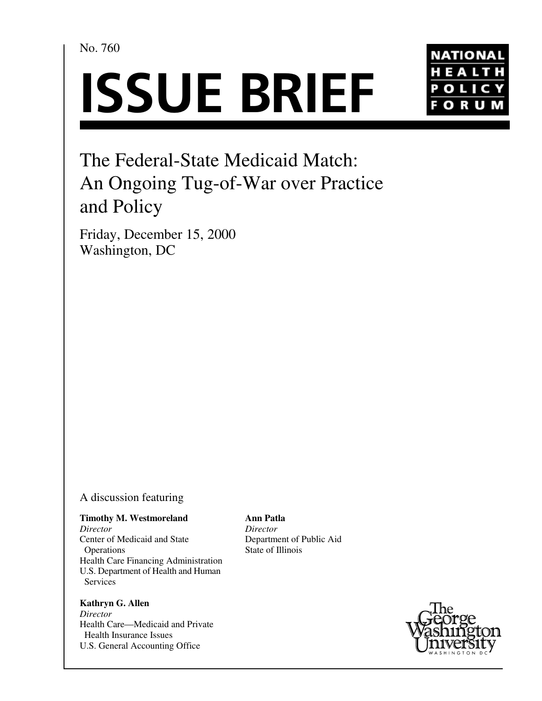No. 760





# The Federal-State Medicaid Match: An Ongoing Tug-of-War over Practice and Policy

Friday, December 15, 2000 Washington, DC

# A discussion featuring

# **Timothy M. Westmoreland**

*Director* Center of Medicaid and State Operations Health Care Financing Administration U.S. Department of Health and Human Services

## **Kathryn G. Allen** *Director* Health Care—Medicaid and Private Health Insurance Issues U.S. General Accounting Office

**Ann Patla** *Director* Department of Public Aid State of Illinois

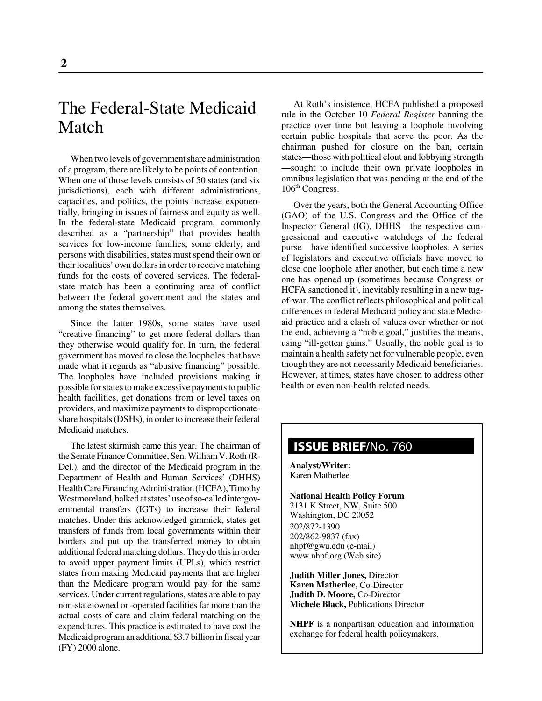# The Federal-State Medicaid Match

When two levels of government share administration of a program, there are likely to be points of contention. When one of those levels consists of 50 states (and six jurisdictions), each with different administrations, capacities, and politics, the points increase exponentially, bringing in issues of fairness and equity as well. In the federal-state Medicaid program, commonly described as a "partnership" that provides health services for low-income families, some elderly, and persons with disabilities, states must spend their own or their localities' own dollars in order to receive matching funds for the costs of covered services. The federalstate match has been a continuing area of conflict between the federal government and the states and among the states themselves.

Since the latter 1980s, some states have used "creative financing" to get more federal dollars than they otherwise would qualify for. In turn, the federal government has moved to close the loopholes that have made what it regards as "abusive financing" possible. The loopholes have included provisions making it possible for states to make excessive payments to public health facilities, get donations from or level taxes on providers, and maximize payments to disproportionateshare hospitals (DSHs), in order to increase their federal Medicaid matches.

The latest skirmish came this year. The chairman of the Senate Finance Committee, Sen. William V. Roth (R-Del.), and the director of the Medicaid program in the Department of Health and Human Services' (DHHS) Health Care Financing Administration (HCFA), Timothy Westmoreland, balked at states' use of so-called intergovernmental transfers (IGTs) to increase their federal matches. Under this acknowledged gimmick, states get transfers of funds from local governments within their borders and put up the transferred money to obtain additional federal matching dollars. They do this in order to avoid upper payment limits (UPLs), which restrict states from making Medicaid payments that are higher than the Medicare program would pay for the same services. Under current regulations, states are able to pay non-state-owned or -operated facilities far more than the actual costs of care and claim federal matching on the expenditures. This practice is estimated to have cost the Medicaid program an additional \$3.7 billion in fiscal year (FY) 2000 alone.

At Roth's insistence, HCFA published a proposed rule in the October 10 *Federal Register* banning the practice over time but leaving a loophole involving certain public hospitals that serve the poor. As the chairman pushed for closure on the ban, certain states—those with political clout and lobbying strength —sought to include their own private loopholes in omnibus legislation that was pending at the end of the  $106<sup>th</sup>$  Congress.

Over the years, both the General Accounting Office (GAO) of the U.S. Congress and the Office of the Inspector General (IG), DHHS—the respective congressional and executive watchdogs of the federal purse—have identified successive loopholes. A series of legislators and executive officials have moved to close one loophole after another, but each time a new one has opened up (sometimes because Congress or HCFA sanctioned it), inevitably resulting in a new tugof-war. The conflict reflects philosophical and political differences in federal Medicaid policy and state Medicaid practice and a clash of values over whether or not the end, achieving a "noble goal," justifies the means, using "ill-gotten gains." Usually, the noble goal is to maintain a health safety net for vulnerable people, even though they are not necessarily Medicaid beneficiaries. However, at times, states have chosen to address other health or even non-health-related needs.

# **ISSUE BRIEF**/No. 760

**Analyst/Writer:** Karen Matherlee

**National Health Policy Forum** 2131 K Street, NW, Suite 500 Washington, DC 20052 202/872-1390 202/862-9837 (fax) nhpf@gwu.edu (e-mail) www.nhpf.org (Web site)

**Judith Miller Jones,** Director **Karen Matherlee,** Co-Director **Judith D. Moore,** Co-Director **Michele Black,** Publications Director

**NHPF** is a nonpartisan education and information exchange for federal health policymakers.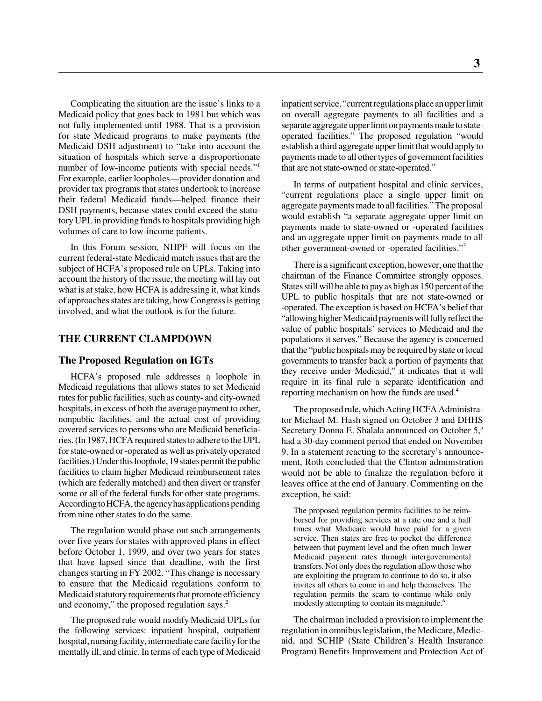Complicating the situation are the issue's links to a Medicaid policy that goes back to 1981 but which was not fully implemented until 1988. That is a provision for state Medicaid programs to make payments (the Medicaid DSH adjustment) to "take into account the situation of hospitals which serve a disproportionate number of low-income patients with special needs."<sup>1</sup> For example, earlier loopholes—provider donation and provider tax programs that states undertook to increase their federal Medicaid funds—helped finance their DSH payments, because states could exceed the statutory UPL in providing funds to hospitals providing high volumes of care to low-income patients.

In this Forum session, NHPF will focus on the current federal-state Medicaid match issues that are the subject of HCFA's proposed rule on UPLs. Taking into account the history of the issue, the meeting will lay out what is at stake, how HCFA is addressing it, what kinds of approaches states are taking, how Congress is getting involved, and what the outlook is for the future.

#### **THE CURRENT CLAMPDOWN**

#### **The Proposed Regulation on IGTs**

HCFA's proposed rule addresses a loophole in Medicaid regulations that allows states to set Medicaid rates for public facilities, such as county- and city-owned hospitals, in excess of both the average payment to other, nonpublic facilities, and the actual cost of providing covered services to persons who are Medicaid beneficiaries. (In 1987, HCFA required states to adhere to the UPL for state-owned or -operated as well as privately operated facilities.) Under this loophole, 19 states permit the public facilities to claim higher Medicaid reimbursement rates (which are federally matched) and then divert or transfer some or all of the federal funds for other state programs. According to HCFA, the agency has applications pending from nine other states to do the same.

The regulation would phase out such arrangements over five years for states with approved plans in effect before October 1, 1999, and over two years for states that have lapsed since that deadline, with the first changes starting in FY 2002. "This change is necessary to ensure that the Medicaid regulations conform to Medicaid statutory requirements that promote efficiency and economy," the proposed regulation says.<sup>2</sup>

The proposed rule would modify Medicaid UPLs for the following services: inpatient hospital, outpatient hospital, nursing facility, intermediate care facility for the mentally ill, and clinic. In terms of each type of Medicaid

inpatient service, "current regulations place an upper limit on overall aggregate payments to all facilities and a separate aggregate upper limit on payments made to stateoperated facilities." The proposed regulation "would establish a third aggregate upper limit that would apply to payments made to all other types of government facilities that are not state-owned or state-operated."

In terms of outpatient hospital and clinic services, "current regulations place a single upper limit on aggregate payments made to all facilities." The proposal would establish "a separate aggregate upper limit on payments made to state-owned or -operated facilities and an aggregate upper limit on payments made to all other government-owned or -operated facilities."3

There is a significant exception, however, one that the chairman of the Finance Committee strongly opposes. States still will be able to pay as high as 150 percent of the UPL to public hospitals that are not state-owned or -operated. The exception is based on HCFA's belief that "allowing higher Medicaid payments will fully reflect the value of public hospitals' services to Medicaid and the populations it serves." Because the agency is concerned that the "public hospitals may be required by state or local governments to transfer back a portion of payments that they receive under Medicaid," it indicates that it will require in its final rule a separate identification and reporting mechanism on how the funds are used.<sup>4</sup>

The proposed rule, which Acting HCFA Administrator Michael M. Hash signed on October 3 and DHHS Secretary Donna E. Shalala announced on October 5,<sup>5</sup> had a 30-day comment period that ended on November 9. In a statement reacting to the secretary's announcement, Roth concluded that the Clinton administration would not be able to finalize the regulation before it leaves office at the end of January. Commenting on the exception, he said:

The proposed regulation permits facilities to be reimbursed for providing services at a rate one and a half times what Medicare would have paid for a given service. Then states are free to pocket the difference between that payment level and the often much lower Medicaid payment rates through intergovernmental transfers. Not only does the regulation allow those who are exploiting the program to continue to do so, it also invites all others to come in and help themselves. The regulation permits the scam to continue while only modestly attempting to contain its magnitude.<sup>6</sup>

The chairman included a provision to implement the regulation in omnibus legislation, the Medicare, Medicaid, and SCHIP (State Children's Health Insurance Program) Benefits Improvement and Protection Act of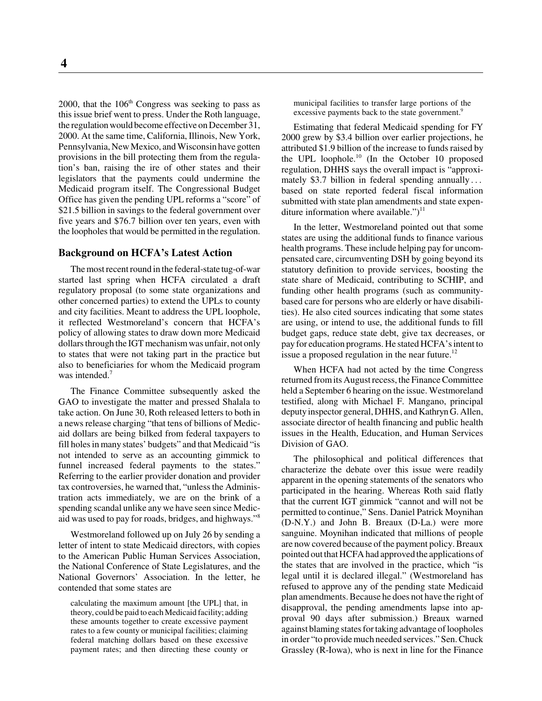2000, that the  $106<sup>th</sup>$  Congress was seeking to pass as this issue brief went to press. Under the Roth language, the regulation would become effective on December 31, 2000. At the same time, California, Illinois, New York, Pennsylvania, New Mexico, and Wisconsin have gotten provisions in the bill protecting them from the regulation's ban, raising the ire of other states and their legislators that the payments could undermine the Medicaid program itself. The Congressional Budget Office has given the pending UPL reforms a "score" of \$21.5 billion in savings to the federal government over five years and \$76.7 billion over ten years, even with the loopholes that would be permitted in the regulation.

### **Background on HCFA's Latest Action**

The most recent round in the federal-state tug-of-war started last spring when HCFA circulated a draft regulatory proposal (to some state organizations and other concerned parties) to extend the UPLs to county and city facilities. Meant to address the UPL loophole, it reflected Westmoreland's concern that HCFA's policy of allowing states to draw down more Medicaid dollars through the IGT mechanism was unfair, not only to states that were not taking part in the practice but also to beneficiaries for whom the Medicaid program was intended.<sup>7</sup>

The Finance Committee subsequently asked the GAO to investigate the matter and pressed Shalala to take action. On June 30, Roth released letters to both in a news release charging "that tens of billions of Medicaid dollars are being bilked from federal taxpayers to fill holes in many states' budgets" and that Medicaid "is not intended to serve as an accounting gimmick to funnel increased federal payments to the states." Referring to the earlier provider donation and provider tax controversies, he warned that, "unless the Administration acts immediately, we are on the brink of a spending scandal unlike any we have seen since Medicaid was used to pay for roads, bridges, and highways."8

Westmoreland followed up on July 26 by sending a letter of intent to state Medicaid directors, with copies to the American Public Human Services Association, the National Conference of State Legislatures, and the National Governors' Association. In the letter, he contended that some states are

calculating the maximum amount [the UPL] that, in theory, could be paid to each Medicaid facility; adding these amounts together to create excessive payment rates to a few county or municipal facilities; claiming federal matching dollars based on these excessive payment rates; and then directing these county or

municipal facilities to transfer large portions of the excessive payments back to the state government.<sup>9</sup>

Estimating that federal Medicaid spending for FY 2000 grew by \$3.4 billion over earlier projections, he attributed \$1.9 billion of the increase to funds raised by the UPL loophole.<sup>10</sup> (In the October 10 proposed regulation, DHHS says the overall impact is "approximately \$3.7 billion in federal spending annually ... based on state reported federal fiscal information submitted with state plan amendments and state expenditure information where available.")<sup>11</sup>

In the letter, Westmoreland pointed out that some states are using the additional funds to finance various health programs. These include helping pay for uncompensated care, circumventing DSH by going beyond its statutory definition to provide services, boosting the state share of Medicaid, contributing to SCHIP, and funding other health programs (such as communitybased care for persons who are elderly or have disabilities). He also cited sources indicating that some states are using, or intend to use, the additional funds to fill budget gaps, reduce state debt, give tax decreases, or pay for education programs. He stated HCFA's intent to issue a proposed regulation in the near future.<sup>12</sup>

When HCFA had not acted by the time Congress returned from its August recess, the Finance Committee held a September 6 hearing on the issue. Westmoreland testified, along with Michael F. Mangano, principal deputy inspector general, DHHS, and Kathryn G. Allen, associate director of health financing and public health issues in the Health, Education, and Human Services Division of GAO.

The philosophical and political differences that characterize the debate over this issue were readily apparent in the opening statements of the senators who participated in the hearing. Whereas Roth said flatly that the current IGT gimmick "cannot and will not be permitted to continue," Sens. Daniel Patrick Moynihan (D-N.Y.) and John B. Breaux (D-La.) were more sanguine. Moynihan indicated that millions of people are now covered because of the payment policy. Breaux pointed out that HCFA had approved the applications of the states that are involved in the practice, which "is legal until it is declared illegal." (Westmoreland has refused to approve any of the pending state Medicaid plan amendments. Because he does not have the right of disapproval, the pending amendments lapse into approval 90 days after submission.) Breaux warned against blaming states for taking advantage of loopholes in order "to provide much needed services." Sen. Chuck Grassley (R-Iowa), who is next in line for the Finance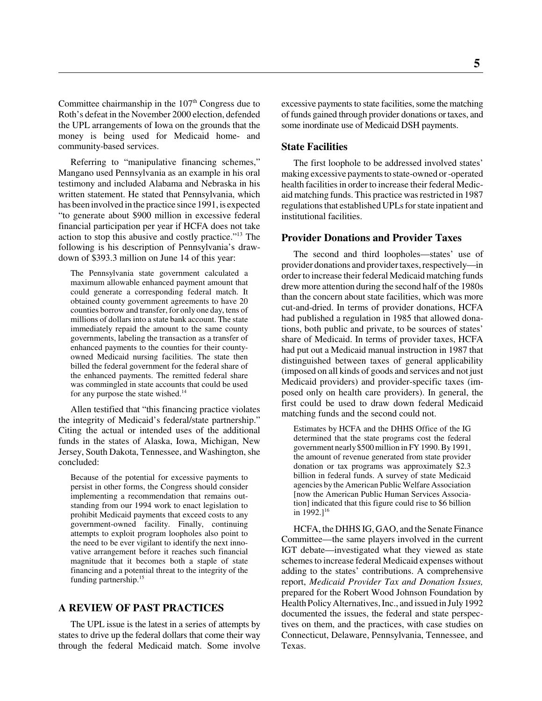Committee chairmanship in the  $107<sup>th</sup>$  Congress due to Roth's defeat in the November 2000 election, defended the UPL arrangements of Iowa on the grounds that the money is being used for Medicaid home- and community-based services.

Referring to "manipulative financing schemes," Mangano used Pennsylvania as an example in his oral testimony and included Alabama and Nebraska in his written statement. He stated that Pennsylvania, which has been involved in the practice since 1991, is expected "to generate about \$900 million in excessive federal financial participation per year if HCFA does not take action to stop this abusive and costly practice."13 The following is his description of Pennsylvania's drawdown of \$393.3 million on June 14 of this year:

The Pennsylvania state government calculated a maximum allowable enhanced payment amount that could generate a corresponding federal match. It obtained county government agreements to have 20 counties borrow and transfer, for only one day, tens of millions of dollars into a state bank account. The state immediately repaid the amount to the same county governments, labeling the transaction as a transfer of enhanced payments to the counties for their countyowned Medicaid nursing facilities. The state then billed the federal government for the federal share of the enhanced payments. The remitted federal share was commingled in state accounts that could be used for any purpose the state wished.<sup>14</sup>

Allen testified that "this financing practice violates the integrity of Medicaid's federal/state partnership." Citing the actual or intended uses of the additional funds in the states of Alaska, Iowa, Michigan, New Jersey, South Dakota, Tennessee, and Washington, she concluded:

Because of the potential for excessive payments to persist in other forms, the Congress should consider implementing a recommendation that remains outstanding from our 1994 work to enact legislation to prohibit Medicaid payments that exceed costs to any government-owned facility. Finally, continuing attempts to exploit program loopholes also point to the need to be ever vigilant to identify the next innovative arrangement before it reaches such financial magnitude that it becomes both a staple of state financing and a potential threat to the integrity of the funding partnership.15

# **A REVIEW OF PAST PRACTICES**

The UPL issue is the latest in a series of attempts by states to drive up the federal dollars that come their way through the federal Medicaid match. Some involve excessive payments to state facilities, some the matching of funds gained through provider donations or taxes, and some inordinate use of Medicaid DSH payments.

#### **State Facilities**

The first loophole to be addressed involved states' making excessive payments to state-owned or -operated health facilities in order to increase their federal Medicaid matching funds. This practice was restricted in 1987 regulations that established UPLs for state inpatient and institutional facilities.

#### **Provider Donations and Provider Taxes**

The second and third loopholes—states' use of provider donations and provider taxes, respectively—in order to increase their federal Medicaid matching funds drew more attention during the second half of the 1980s than the concern about state facilities, which was more cut-and-dried. In terms of provider donations, HCFA had published a regulation in 1985 that allowed donations, both public and private, to be sources of states' share of Medicaid. In terms of provider taxes, HCFA had put out a Medicaid manual instruction in 1987 that distinguished between taxes of general applicability (imposed on all kinds of goods and services and not just Medicaid providers) and provider-specific taxes (imposed only on health care providers). In general, the first could be used to draw down federal Medicaid matching funds and the second could not.

Estimates by HCFA and the DHHS Office of the IG determined that the state programs cost the federal government nearly \$500 million in FY 1990. By 1991, the amount of revenue generated from state provider donation or tax programs was approximately \$2.3 billion in federal funds. A survey of state Medicaid agencies by the American Public Welfare Association [now the American Public Human Services Association] indicated that this figure could rise to \$6 billion in  $1992.1^{16}$ 

HCFA, the DHHS IG, GAO, and the Senate Finance Committee—the same players involved in the current IGT debate—investigated what they viewed as state schemes to increase federal Medicaid expenses without adding to the states' contributions. A comprehensive report, *Medicaid Provider Tax and Donation Issues,* prepared for the Robert Wood Johnson Foundation by Health Policy Alternatives, Inc., and issued in July 1992 documented the issues, the federal and state perspectives on them, and the practices, with case studies on Connecticut, Delaware, Pennsylvania, Tennessee, and Texas.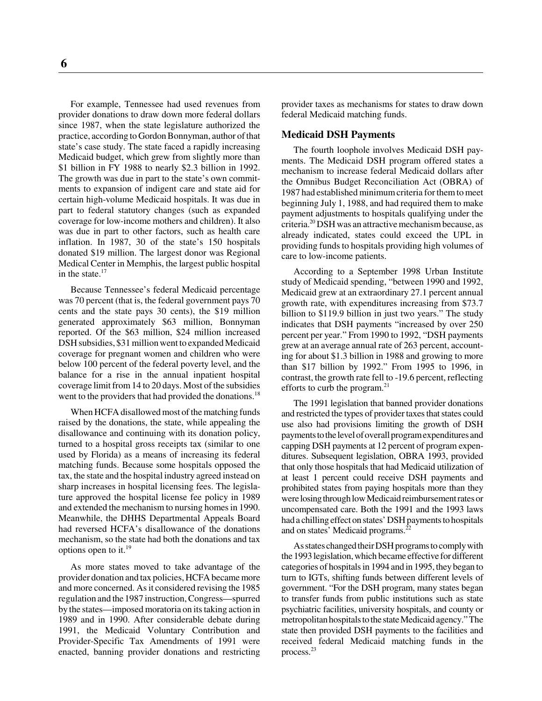For example, Tennessee had used revenues from provider donations to draw down more federal dollars since 1987, when the state legislature authorized the practice, according to Gordon Bonnyman, author of that state's case study. The state faced a rapidly increasing Medicaid budget, which grew from slightly more than \$1 billion in FY 1988 to nearly \$2.3 billion in 1992. The growth was due in part to the state's own commitments to expansion of indigent care and state aid for certain high-volume Medicaid hospitals. It was due in part to federal statutory changes (such as expanded coverage for low-income mothers and children). It also was due in part to other factors, such as health care inflation. In 1987, 30 of the state's 150 hospitals donated \$19 million. The largest donor was Regional Medical Center in Memphis, the largest public hospital in the state. $17$ 

Because Tennessee's federal Medicaid percentage was 70 percent (that is, the federal government pays 70 cents and the state pays 30 cents), the \$19 million generated approximately \$63 million, Bonnyman reported. Of the \$63 million, \$24 million increased DSH subsidies, \$31 million went to expanded Medicaid coverage for pregnant women and children who were below 100 percent of the federal poverty level, and the balance for a rise in the annual inpatient hospital coverage limit from 14 to 20 days. Most of the subsidies went to the providers that had provided the donations.<sup>18</sup>

When HCFA disallowed most of the matching funds raised by the donations, the state, while appealing the disallowance and continuing with its donation policy, turned to a hospital gross receipts tax (similar to one used by Florida) as a means of increasing its federal matching funds. Because some hospitals opposed the tax, the state and the hospital industry agreed instead on sharp increases in hospital licensing fees. The legislature approved the hospital license fee policy in 1989 and extended the mechanism to nursing homes in 1990. Meanwhile, the DHHS Departmental Appeals Board had reversed HCFA's disallowance of the donations mechanism, so the state had both the donations and tax options open to it.19

As more states moved to take advantage of the provider donation and tax policies, HCFA became more and more concerned. As it considered revising the 1985 regulation and the 1987 instruction, Congress—spurred by the states—imposed moratoria on its taking action in 1989 and in 1990. After considerable debate during 1991, the Medicaid Voluntary Contribution and Provider-Specific Tax Amendments of 1991 were enacted, banning provider donations and restricting

provider taxes as mechanisms for states to draw down federal Medicaid matching funds.

#### **Medicaid DSH Payments**

The fourth loophole involves Medicaid DSH payments. The Medicaid DSH program offered states a mechanism to increase federal Medicaid dollars after the Omnibus Budget Reconciliation Act (OBRA) of 1987 had established minimum criteria for them to meet beginning July 1, 1988, and had required them to make payment adjustments to hospitals qualifying under the criteria.20 DSH was an attractive mechanism because, as already indicated, states could exceed the UPL in providing funds to hospitals providing high volumes of care to low-income patients.

According to a September 1998 Urban Institute study of Medicaid spending, "between 1990 and 1992, Medicaid grew at an extraordinary 27.1 percent annual growth rate, with expenditures increasing from \$73.7 billion to \$119.9 billion in just two years." The study indicates that DSH payments "increased by over 250 percent per year." From 1990 to 1992, "DSH payments grew at an average annual rate of 263 percent, accounting for about \$1.3 billion in 1988 and growing to more than \$17 billion by 1992." From 1995 to 1996, in contrast, the growth rate fell to -19.6 percent, reflecting efforts to curb the program.<sup>21</sup>

The 1991 legislation that banned provider donations and restricted the types of provider taxes that states could use also had provisions limiting the growth of DSH payments to the level of overall program expenditures and capping DSH payments at 12 percent of program expenditures. Subsequent legislation, OBRA 1993, provided that only those hospitals that had Medicaid utilization of at least 1 percent could receive DSH payments and prohibited states from paying hospitals more than they were losing through low Medicaid reimbursement rates or uncompensated care. Both the 1991 and the 1993 laws had a chilling effect on states' DSH payments to hospitals and on states' Medicaid programs.<sup>22</sup>

As states changed their DSH programs to comply with the 1993 legislation, which became effective for different categories of hospitals in 1994 and in 1995, they began to turn to IGTs, shifting funds between different levels of government. "For the DSH program, many states began to transfer funds from public institutions such as state psychiatric facilities, university hospitals, and county or metropolitan hospitals to the state Medicaid agency." The state then provided DSH payments to the facilities and received federal Medicaid matching funds in the process.23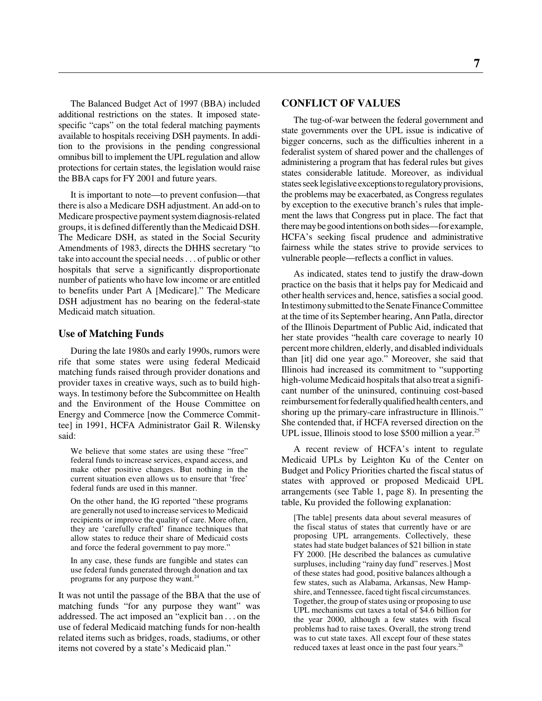The Balanced Budget Act of 1997 (BBA) included additional restrictions on the states. It imposed statespecific "caps" on the total federal matching payments available to hospitals receiving DSH payments. In addition to the provisions in the pending congressional omnibus bill to implement the UPL regulation and allow protections for certain states, the legislation would raise the BBA caps for FY 2001 and future years.

It is important to note—to prevent confusion—that there is also a Medicare DSH adjustment. An add-on to Medicare prospective payment system diagnosis-related groups, it is defined differently than the Medicaid DSH. The Medicare DSH, as stated in the Social Security Amendments of 1983, directs the DHHS secretary "to take into account the special needs. . . of public or other hospitals that serve a significantly disproportionate number of patients who have low income or are entitled to benefits under Part A [Medicare]." The Medicare DSH adjustment has no bearing on the federal-state Medicaid match situation.

#### **Use of Matching Funds**

During the late 1980s and early 1990s, rumors were rife that some states were using federal Medicaid matching funds raised through provider donations and provider taxes in creative ways, such as to build highways. In testimony before the Subcommittee on Health and the Environment of the House Committee on Energy and Commerce [now the Commerce Committee] in 1991, HCFA Administrator Gail R. Wilensky said:

We believe that some states are using these "free" federal funds to increase services, expand access, and make other positive changes. But nothing in the current situation even allows us to ensure that 'free' federal funds are used in this manner.

On the other hand, the IG reported "these programs are generally not used to increase services to Medicaid recipients or improve the quality of care. More often, they are 'carefully crafted' finance techniques that allow states to reduce their share of Medicaid costs and force the federal government to pay more."

In any case, these funds are fungible and states can use federal funds generated through donation and tax programs for any purpose they want.<sup>24</sup>

It was not until the passage of the BBA that the use of matching funds "for any purpose they want" was addressed. The act imposed an "explicit ban . . . on the use of federal Medicaid matching funds for non-health related items such as bridges, roads, stadiums, or other items not covered by a state's Medicaid plan."

### **CONFLICT OF VALUES**

The tug-of-war between the federal government and state governments over the UPL issue is indicative of bigger concerns, such as the difficulties inherent in a federalist system of shared power and the challenges of administering a program that has federal rules but gives states considerable latitude. Moreover, as individual states seek legislative exceptions to regulatory provisions, the problems may be exacerbated, as Congress regulates by exception to the executive branch's rules that implement the laws that Congress put in place. The fact that there may be good intentions on both sides—for example, HCFA's seeking fiscal prudence and administrative fairness while the states strive to provide services to vulnerable people—reflects a conflict in values.

As indicated, states tend to justify the draw-down practice on the basis that it helps pay for Medicaid and other health services and, hence, satisfies a social good. In testimony submitted to the Senate Finance Committee at the time of its September hearing, Ann Patla, director of the Illinois Department of Public Aid, indicated that her state provides "health care coverage to nearly 10 percent more children, elderly, and disabled individuals than [it] did one year ago." Moreover, she said that Illinois had increased its commitment to "supporting high-volume Medicaid hospitals that also treat a significant number of the uninsured, continuing cost-based reimbursement for federally qualified health centers, and shoring up the primary-care infrastructure in Illinois." She contended that, if HCFA reversed direction on the UPL issue, Illinois stood to lose \$500 million a year.<sup>25</sup>

A recent review of HCFA's intent to regulate Medicaid UPLs by Leighton Ku of the Center on Budget and Policy Priorities charted the fiscal status of states with approved or proposed Medicaid UPL arrangements (see Table 1, page 8). In presenting the table, Ku provided the following explanation:

[The table] presents data about several measures of the fiscal status of states that currently have or are proposing UPL arrangements. Collectively, these states had state budget balances of \$21 billion in state FY 2000. [He described the balances as cumulative surpluses, including "rainy day fund" reserves.] Most of these states had good, positive balances although a few states, such as Alabama, Arkansas, New Hampshire, and Tennessee, faced tight fiscal circumstances. Together, the group of states using or proposing to use UPL mechanisms cut taxes a total of \$4.6 billion for the year 2000, although a few states with fiscal problems had to raise taxes. Overall, the strong trend was to cut state taxes. All except four of these states reduced taxes at least once in the past four years.<sup>26</sup>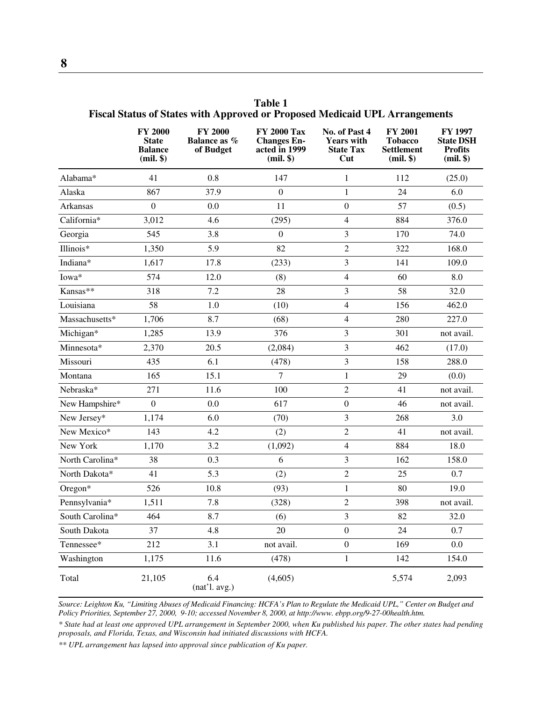|                 | <b>FY 2000</b><br><b>State</b><br><b>Balance</b><br>$(mil.$ \$) | <b>FY 2000</b><br><b>Balance as %</b><br>of Budget | <b>FY 2000 Tax</b><br><b>Changes En-</b><br>acted in 1999<br>$(mil.$ \$) | No. of Past 4<br><b>Years with</b><br><b>State Tax</b><br>Cut | <b>FY 2001</b><br><b>Tobacco</b><br><b>Settlement</b><br>(mil. | FY 1997<br><b>State DSH</b><br><b>Profits</b><br>(mil. |
|-----------------|-----------------------------------------------------------------|----------------------------------------------------|--------------------------------------------------------------------------|---------------------------------------------------------------|----------------------------------------------------------------|--------------------------------------------------------|
| Alabama*        | 41                                                              | 0.8                                                | 147                                                                      | $\mathbf{1}$                                                  | 112                                                            | (25.0)                                                 |
| Alaska          | 867                                                             | 37.9                                               | $\boldsymbol{0}$                                                         | $\mathbf{1}$                                                  | 24                                                             | 6.0                                                    |
| Arkansas        | $\boldsymbol{0}$                                                | 0.0                                                | 11                                                                       | $\boldsymbol{0}$                                              | 57                                                             | (0.5)                                                  |
| California*     | 3,012                                                           | 4.6                                                | (295)                                                                    | $\overline{4}$                                                | 884                                                            | 376.0                                                  |
| Georgia         | 545                                                             | 3.8                                                | $\boldsymbol{0}$                                                         | 3                                                             | 170                                                            | 74.0                                                   |
| Illinois*       | 1,350                                                           | 5.9                                                | 82                                                                       | $\overline{2}$                                                | 322                                                            | 168.0                                                  |
| Indiana*        | 1,617                                                           | 17.8                                               | (233)                                                                    | $\mathfrak{Z}$                                                | 141                                                            | 109.0                                                  |
| Iowa*           | 574                                                             | 12.0                                               | (8)                                                                      | $\overline{4}$                                                | 60                                                             | 8.0                                                    |
| Kansas**        | 318                                                             | 7.2                                                | 28                                                                       | 3                                                             | 58                                                             | 32.0                                                   |
| Louisiana       | 58                                                              | 1.0                                                | (10)                                                                     | $\overline{4}$                                                | 156                                                            | 462.0                                                  |
| Massachusetts*  | 1,706                                                           | 8.7                                                | (68)                                                                     | $\overline{4}$                                                | 280                                                            | 227.0                                                  |
| Michigan*       | 1,285                                                           | 13.9                                               | 376                                                                      | 3                                                             | 301                                                            | not avail.                                             |
| Minnesota*      | 2,370                                                           | 20.5                                               | (2,084)                                                                  | $\mathfrak{Z}$                                                | 462                                                            | (17.0)                                                 |
| Missouri        | 435                                                             | 6.1                                                | (478)                                                                    | 3                                                             | 158                                                            | 288.0                                                  |
| Montana         | 165                                                             | 15.1                                               | $\overline{7}$                                                           | $\mathbf{1}$                                                  | 29                                                             | (0.0)                                                  |
| Nebraska*       | 271                                                             | 11.6                                               | 100                                                                      | $\sqrt{2}$                                                    | 41                                                             | not avail.                                             |
| New Hampshire*  | $\boldsymbol{0}$                                                | 0.0                                                | 617                                                                      | $\boldsymbol{0}$                                              | 46                                                             | not avail.                                             |
| New Jersey*     | 1,174                                                           | 6.0                                                | (70)                                                                     | $\mathfrak{Z}$                                                | 268                                                            | 3.0                                                    |
| New Mexico*     | 143                                                             | 4.2                                                | (2)                                                                      | $\sqrt{2}$                                                    | 41                                                             | not avail.                                             |
| New York        | 1,170                                                           | 3.2                                                | (1,092)                                                                  | $\overline{4}$                                                | 884                                                            | 18.0                                                   |
| North Carolina* | 38                                                              | 0.3                                                | 6                                                                        | 3                                                             | 162                                                            | 158.0                                                  |
| North Dakota*   | 41                                                              | 5.3                                                | (2)                                                                      | $\sqrt{2}$                                                    | 25                                                             | 0.7                                                    |
| Oregon*         | 526                                                             | 10.8                                               | (93)                                                                     | $\mathbf{1}$                                                  | 80                                                             | 19.0                                                   |
| Pennsylvania*   | 1,511                                                           | 7.8                                                | (328)                                                                    | $\sqrt{2}$                                                    | 398                                                            | not avail.                                             |
| South Carolina* | 464                                                             | 8.7                                                | (6)                                                                      | $\overline{3}$                                                | 82                                                             | 32.0                                                   |
| South Dakota    | 37                                                              | 4.8                                                | 20                                                                       | $\boldsymbol{0}$                                              | 24                                                             | 0.7                                                    |
| Tennessee*      | 212                                                             | 3.1                                                | not avail.                                                               | $\boldsymbol{0}$                                              | 169                                                            | 0.0                                                    |
| Washington      | 1,175                                                           | 11.6                                               | (478)                                                                    | $\mathbf{1}$                                                  | 142                                                            | 154.0                                                  |
| Total           | 21,105                                                          | 6.4<br>(nat'1. avg.)                               | (4,605)                                                                  |                                                               | 5,574                                                          | 2,093                                                  |

**Table 1 Fiscal Status of States with Approved or Proposed Medicaid UPL Arrangements**

*Source: Leighton Ku, "Limiting Abuses of Medicaid Financing: HCFA's Plan to Regulate the Medicaid UPL," Center on Budget and Policy Priorities, September 27, 2000, 9-10; accessed November 8, 2000, at http://www. ebpp.org/9-27-00health.htm.*

*\* State had at least one approved UPL arrangement in September 2000, when Ku published his paper. The other states had pending proposals, and Florida, Texas, and Wisconsin had initiated discussions with HCFA.*

*\*\* UPL arrangement has lapsed into approval since publication of Ku paper.*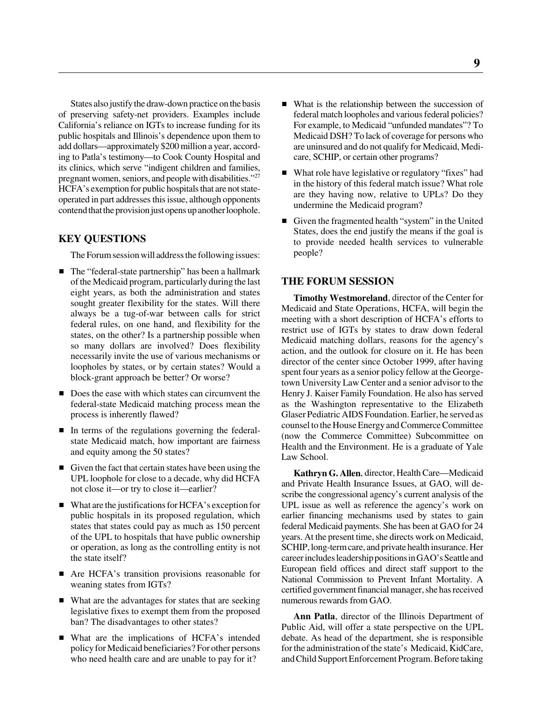States also justify the draw-down practice on the basis of preserving safety-net providers. Examples include California's reliance on IGTs to increase funding for its public hospitals and Illinois's dependence upon them to add dollars—approximately \$200 million a year, according to Patla's testimony—to Cook County Hospital and its clinics, which serve "indigent children and families, pregnant women, seniors, and people with disabilities."27 HCFA's exemption for public hospitals that are not stateoperated in part addresses this issue, although opponents contend that the provision just opens up another loophole.

### **KEY QUESTIONS**

The Forum session will address the following issues:

- The "federal-state partnership" has been a hallmark of the Medicaid program, particularly during the last eight years, as both the administration and states sought greater flexibility for the states. Will there always be a tug-of-war between calls for strict federal rules, on one hand, and flexibility for the states, on the other? Is a partnership possible when so many dollars are involved? Does flexibility necessarily invite the use of various mechanisms or loopholes by states, or by certain states? Would a block-grant approach be better? Or worse?
- Does the ease with which states can circumvent the federal-state Medicaid matching process mean the process is inherently flawed?
- In terms of the regulations governing the federalstate Medicaid match, how important are fairness and equity among the 50 states?
- Given the fact that certain states have been using the UPL loophole for close to a decade, why did HCFA not close it—or try to close it—earlier?
- What are the justifications for HCFA's exception for public hospitals in its proposed regulation, which states that states could pay as much as 150 percent of the UPL to hospitals that have public ownership or operation, as long as the controlling entity is not the state itself?
- Are HCFA's transition provisions reasonable for weaning states from IGTs?
- What are the advantages for states that are seeking legislative fixes to exempt them from the proposed ban? The disadvantages to other states?
- What are the implications of HCFA's intended policy for Medicaid beneficiaries? For other persons who need health care and are unable to pay for it?
- What is the relationship between the succession of federal match loopholes and various federal policies? For example, to Medicaid "unfunded mandates"? To Medicaid DSH? To lack of coverage for persons who are uninsured and do not qualify for Medicaid, Medicare, SCHIP, or certain other programs?
- What role have legislative or regulatory "fixes" had in the history of this federal match issue? What role are they having now, relative to UPLs? Do they undermine the Medicaid program?
- Given the fragmented health "system" in the United States, does the end justify the means if the goal is to provide needed health services to vulnerable people?

#### **THE FORUM SESSION**

**Timothy Westmoreland**, director of the Center for Medicaid and State Operations, HCFA, will begin the meeting with a short description of HCFA's efforts to restrict use of IGTs by states to draw down federal Medicaid matching dollars, reasons for the agency's action, and the outlook for closure on it. He has been director of the center since October 1999, after having spent four years as a senior policy fellow at the Georgetown University Law Center and a senior advisor to the Henry J. Kaiser Family Foundation. He also has served as the Washington representative to the Elizabeth Glaser Pediatric AIDS Foundation. Earlier, he served as counsel to the House Energy and Commerce Committee (now the Commerce Committee) Subcommittee on Health and the Environment. He is a graduate of Yale Law School.

**Kathryn G. Allen**, director, Health Care—Medicaid and Private Health Insurance Issues, at GAO, will describe the congressional agency's current analysis of the UPL issue as well as reference the agency's work on earlier financing mechanisms used by states to gain federal Medicaid payments. She has been at GAO for 24 years. At the present time, she directs work on Medicaid, SCHIP, long-term care, and private health insurance. Her career includes leadership positions in GAO's Seattle and European field offices and direct staff support to the National Commission to Prevent Infant Mortality. A certified government financial manager, she has received numerous rewards from GAO.

**Ann Patla**, director of the Illinois Department of Public Aid, will offer a state perspective on the UPL debate. As head of the department, she is responsible for the administration of the state's Medicaid, KidCare, and Child Support Enforcement Program. Before taking